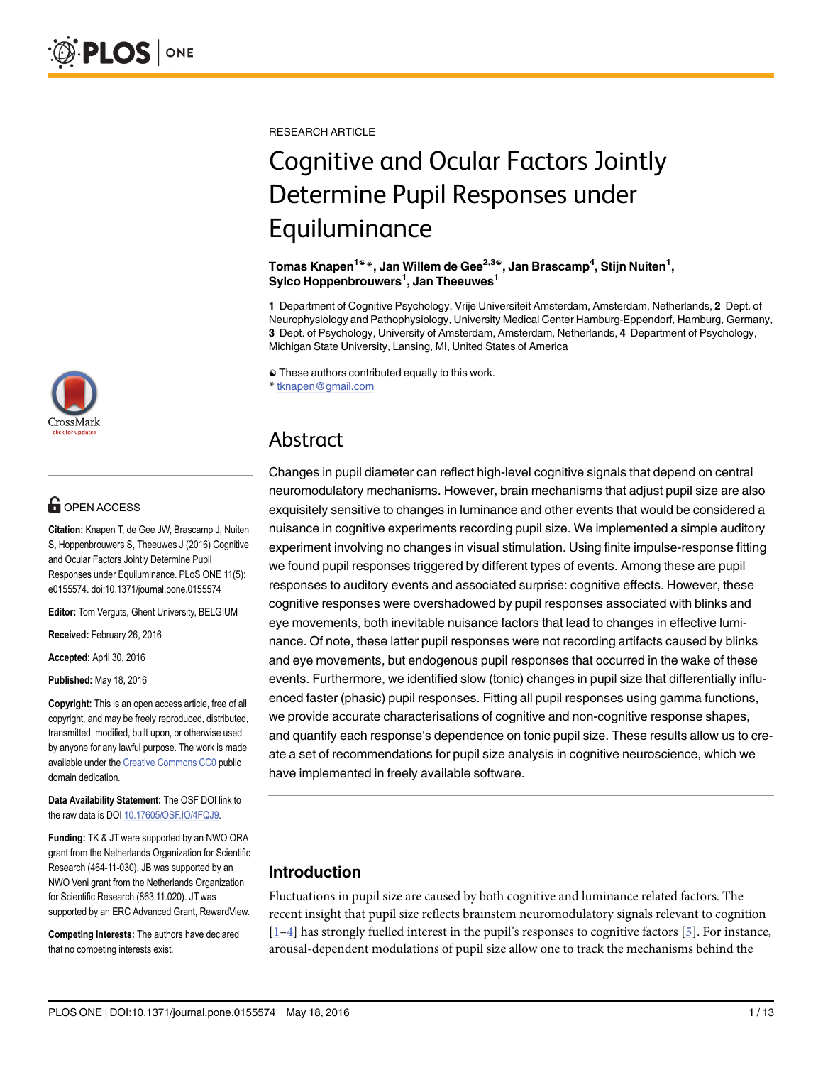

## **OPEN ACCESS**

Citation: Knapen T, de Gee JW, Brascamp J, Nuiten S, Hoppenbrouwers S, Theeuwes J (2016) Cognitive and Ocular Factors Jointly Determine Pupil Responses under Equiluminance. PLoS ONE 11(5): e0155574. doi:10.1371/journal.pone.0155574

Editor: Tom Verguts, Ghent University, BELGIUM

Received: February 26, 2016

Accepted: April 30, 2016

Published: May 18, 2016

Copyright: This is an open access article, free of all copyright, and may be freely reproduced, distributed, transmitted, modified, built upon, or otherwise used by anyone for any lawful purpose. The work is made available under the [Creative Commons CC0](https://creativecommons.org/publicdomain/zero/1.0/) public domain dedication.

Data Availability Statement: The OSF DOI link to the raw data is DOI [10.17605/OSF.IO/4FQJ9.](http://dx.doi.org/10.17605/OSF.IO/4FQJ9)

Funding: TK & JT were supported by an NWO ORA grant from the Netherlands Organization for Scientific Research (464-11-030). JB was supported by an NWO Veni grant from the Netherlands Organization for Scientific Research (863.11.020). JT was supported by an ERC Advanced Grant, RewardView.

Competing Interests: The authors have declared that no competing interests exist.

<span id="page-0-0"></span>RESEARCH ARTICLE

# Cognitive and Ocular Factors Jointly Determine Pupil Responses under Equiluminance

Tomas Knapen<sup>1ଢ</sup>\*, Jan Willem de Gee<sup>2,3ଢ</sup>, Jan Brascamp<sup>4</sup>, Stijn Nuiten<sup>1</sup>, Sylco Hoppenbrouwers<sup>1</sup>, Jan Theeuwes<sup>1</sup>

1 Department of Cognitive Psychology, Vrije Universiteit Amsterdam, Amsterdam, Netherlands, 2 Dept. of Neurophysiology and Pathophysiology, University Medical Center Hamburg-Eppendorf, Hamburg, Germany, 3 Dept. of Psychology, University of Amsterdam, Amsterdam, Netherlands, 4 Department of Psychology, Michigan State University, Lansing, MI, United States of America

☯ These authors contributed equally to this work.

\* tknapen@gmail.com

## Abstract

Changes in pupil diameter can reflect high-level cognitive signals that depend on central neuromodulatory mechanisms. However, brain mechanisms that adjust pupil size are also exquisitely sensitive to changes in luminance and other events that would be considered a nuisance in cognitive experiments recording pupil size. We implemented a simple auditory experiment involving no changes in visual stimulation. Using finite impulse-response fitting we found pupil responses triggered by different types of events. Among these are pupil responses to auditory events and associated surprise: cognitive effects. However, these cognitive responses were overshadowed by pupil responses associated with blinks and eye movements, both inevitable nuisance factors that lead to changes in effective luminance. Of note, these latter pupil responses were not recording artifacts caused by blinks and eye movements, but endogenous pupil responses that occurred in the wake of these events. Furthermore, we identified slow (tonic) changes in pupil size that differentially influenced faster (phasic) pupil responses. Fitting all pupil responses using gamma functions, we provide accurate characterisations of cognitive and non-cognitive response shapes, and quantify each response's dependence on tonic pupil size. These results allow us to create a set of recommendations for pupil size analysis in cognitive neuroscience, which we have implemented in freely available software.

### Introduction

Fluctuations in pupil size are caused by both cognitive and luminance related factors. The recent insight that pupil size reflects brainstem neuromodulatory signals relevant to cognition  $[1-4]$  $[1-4]$  $[1-4]$  $[1-4]$  has strongly fuelled interest in the pupil's responses to cognitive factors  $[5]$  $[5]$ . For instance, arousal-dependent modulations of pupil size allow one to track the mechanisms behind the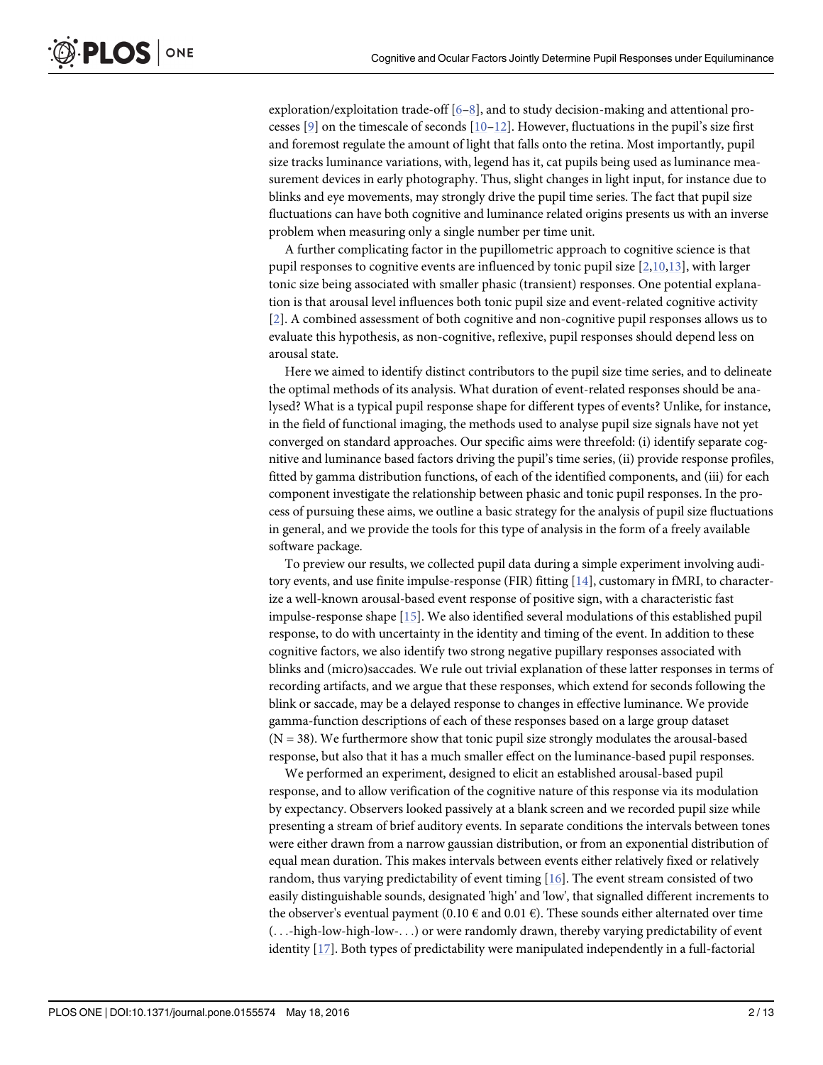exploration/exploitation trade-off  $[6-8]$  $[6-8]$  $[6-8]$ , and to study decision-making and attentional processes  $[9]$  on the timescale of seconds  $[10-12]$  $[10-12]$  $[10-12]$  $[10-12]$  $[10-12]$ . However, fluctuations in the pupil's size first and foremost regulate the amount of light that falls onto the retina. Most importantly, pupil

size tracks luminance variations, with, legend has it, cat pupils being used as luminance measurement devices in early photography. Thus, slight changes in light input, for instance due to blinks and eye movements, may strongly drive the pupil time series. The fact that pupil size fluctuations can have both cognitive and luminance related origins presents us with an inverse problem when measuring only a single number per time unit.

A further complicating factor in the pupillometric approach to cognitive science is that pupil responses to cognitive events are influenced by tonic pupil size  $[2,10,13]$  $[2,10,13]$  $[2,10,13]$  $[2,10,13]$  $[2,10,13]$ , with larger tonic size being associated with smaller phasic (transient) responses. One potential explanation is that arousal level influences both tonic pupil size and event-related cognitive activity [\[2](#page-11-0)]. A combined assessment of both cognitive and non-cognitive pupil responses allows us to evaluate this hypothesis, as non-cognitive, reflexive, pupil responses should depend less on arousal state.

Here we aimed to identify distinct contributors to the pupil size time series, and to delineate the optimal methods of its analysis. What duration of event-related responses should be analysed? What is a typical pupil response shape for different types of events? Unlike, for instance, in the field of functional imaging, the methods used to analyse pupil size signals have not yet converged on standard approaches. Our specific aims were threefold: (i) identify separate cognitive and luminance based factors driving the pupil's time series, (ii) provide response profiles, fitted by gamma distribution functions, of each of the identified components, and (iii) for each component investigate the relationship between phasic and tonic pupil responses. In the process of pursuing these aims, we outline a basic strategy for the analysis of pupil size fluctuations in general, and we provide the tools for this type of analysis in the form of a freely available software package.

To preview our results, we collected pupil data during a simple experiment involving auditory events, and use finite impulse-response (FIR) fitting [\[14](#page-12-0)], customary in fMRI, to characterize a well-known arousal-based event response of positive sign, with a characteristic fast impulse-response shape [[15](#page-12-0)]. We also identified several modulations of this established pupil response, to do with uncertainty in the identity and timing of the event. In addition to these cognitive factors, we also identify two strong negative pupillary responses associated with blinks and (micro)saccades. We rule out trivial explanation of these latter responses in terms of recording artifacts, and we argue that these responses, which extend for seconds following the blink or saccade, may be a delayed response to changes in effective luminance. We provide gamma-function descriptions of each of these responses based on a large group dataset  $(N = 38)$ . We furthermore show that tonic pupil size strongly modulates the arousal-based response, but also that it has a much smaller effect on the luminance-based pupil responses.

We performed an experiment, designed to elicit an established arousal-based pupil response, and to allow verification of the cognitive nature of this response via its modulation by expectancy. Observers looked passively at a blank screen and we recorded pupil size while presenting a stream of brief auditory events. In separate conditions the intervals between tones were either drawn from a narrow gaussian distribution, or from an exponential distribution of equal mean duration. This makes intervals between events either relatively fixed or relatively random, thus varying predictability of event timing [\[16\]](#page-12-0). The event stream consisted of two easily distinguishable sounds, designated 'high' and 'low', that signalled different increments to the observer's eventual payment (0.10  $\epsilon$  and 0.01  $\epsilon$ ). These sounds either alternated over time (...-high-low-high-low-...) or were randomly drawn, thereby varying predictability of event identity [\[17\]](#page-12-0). Both types of predictability were manipulated independently in a full-factorial

<span id="page-1-0"></span>**PLOS** 

ONE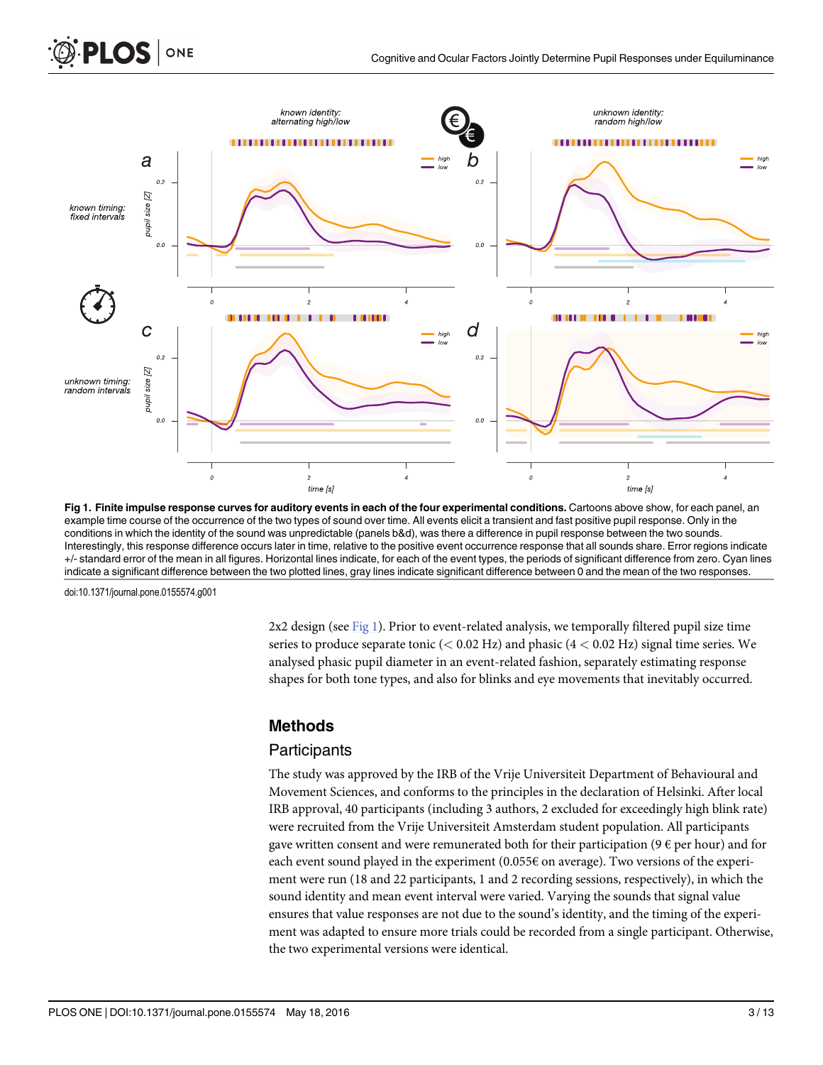<span id="page-2-0"></span>

Fig 1. Finite impulse response curves for auditory events in each of the four experimental conditions. Cartoons above show, for each panel, an example time course of the occurrence of the two types of sound over time. All events elicit a transient and fast positive pupil response. Only in the conditions in which the identity of the sound was unpredictable (panels b&d), was there a difference in pupil response between the two sounds. Interestingly, this response difference occurs later in time, relative to the positive event occurrence response that all sounds share. Error regions indicate +/- standard error of the mean in all figures. Horizontal lines indicate, for each of the event types, the periods of significant difference from zero. Cyan lines indicate a significant difference between the two plotted lines, gray lines indicate significant difference between 0 and the mean of the two responses.

 $2x2$  design (see Fig 1). Prior to event-related analysis, we temporally filtered pupil size time series to produce separate tonic ( $< 0.02$  Hz) and phasic ( $4 < 0.02$  Hz) signal time series. We analysed phasic pupil diameter in an event-related fashion, separately estimating response shapes for both tone types, and also for blinks and eye movements that inevitably occurred.

#### Methods

#### **Participants**

The study was approved by the IRB of the Vrije Universiteit Department of Behavioural and Movement Sciences, and conforms to the principles in the declaration of Helsinki. After local IRB approval, 40 participants (including 3 authors, 2 excluded for exceedingly high blink rate) were recruited from the Vrije Universiteit Amsterdam student population. All participants gave written consent and were remunerated both for their participation ( $9 \epsilon$  per hour) and for each event sound played in the experiment  $(0.055\epsilon \text{ on average})$ . Two versions of the experiment were run (18 and 22 participants, 1 and 2 recording sessions, respectively), in which the sound identity and mean event interval were varied. Varying the sounds that signal value ensures that value responses are not due to the sound's identity, and the timing of the experiment was adapted to ensure more trials could be recorded from a single participant. Otherwise, the two experimental versions were identical.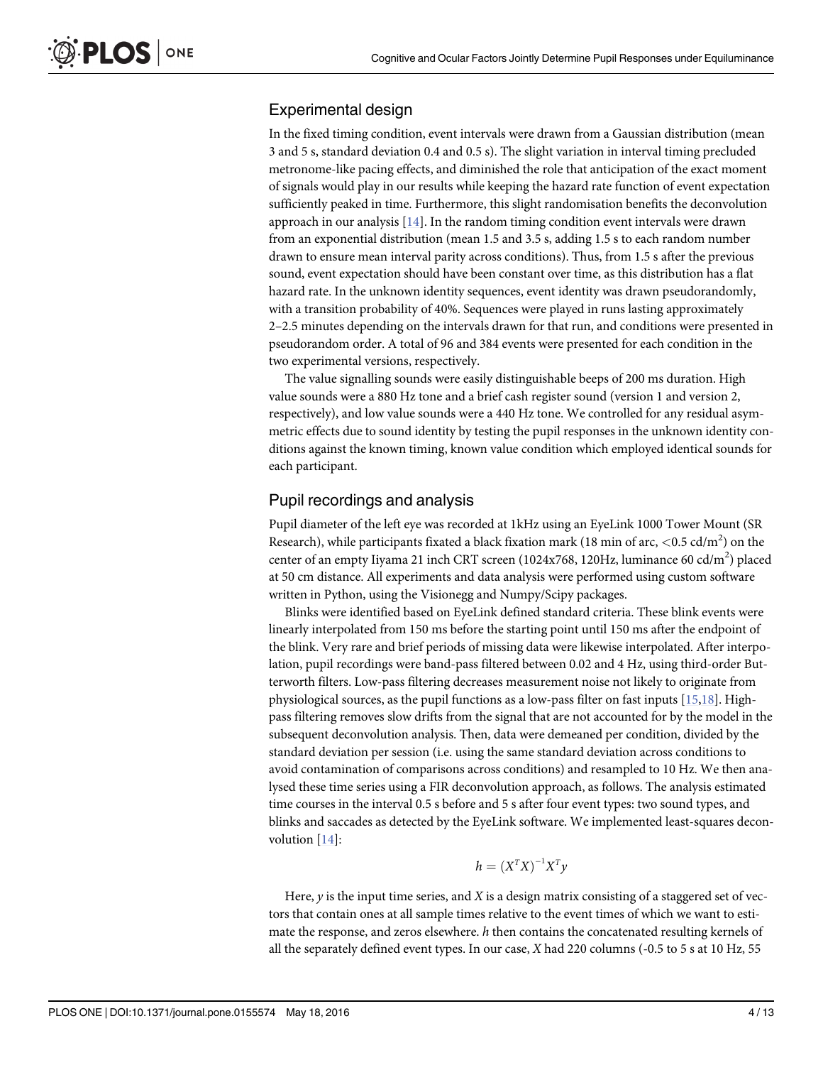#### <span id="page-3-0"></span>Experimental design

In the fixed timing condition, event intervals were drawn from a Gaussian distribution (mean 3 and 5 s, standard deviation 0.4 and 0.5 s). The slight variation in interval timing precluded metronome-like pacing effects, and diminished the role that anticipation of the exact moment of signals would play in our results while keeping the hazard rate function of event expectation sufficiently peaked in time. Furthermore, this slight randomisation benefits the deconvolution approach in our analysis  $[14]$  $[14]$  $[14]$ . In the random timing condition event intervals were drawn from an exponential distribution (mean 1.5 and 3.5 s, adding 1.5 s to each random number drawn to ensure mean interval parity across conditions). Thus, from 1.5 s after the previous sound, event expectation should have been constant over time, as this distribution has a flat hazard rate. In the unknown identity sequences, event identity was drawn pseudorandomly, with a transition probability of 40%. Sequences were played in runs lasting approximately 2–2.5 minutes depending on the intervals drawn for that run, and conditions were presented in pseudorandom order. A total of 96 and 384 events were presented for each condition in the two experimental versions, respectively.

The value signalling sounds were easily distinguishable beeps of 200 ms duration. High value sounds were a 880 Hz tone and a brief cash register sound (version 1 and version 2, respectively), and low value sounds were a 440 Hz tone. We controlled for any residual asymmetric effects due to sound identity by testing the pupil responses in the unknown identity conditions against the known timing, known value condition which employed identical sounds for each participant.

#### Pupil recordings and analysis

Pupil diameter of the left eye was recorded at 1kHz using an EyeLink 1000 Tower Mount (SR Research), while participants fixated a black fixation mark (18 min of arc,  $<$  0.5 cd/m<sup>2</sup>) on the center of an empty Iiyama 21 inch CRT screen (1024x768, 120Hz, luminance 60 cd/m<sup>2</sup>) placed at 50 cm distance. All experiments and data analysis were performed using custom software written in Python, using the Visionegg and Numpy/Scipy packages.

Blinks were identified based on EyeLink defined standard criteria. These blink events were linearly interpolated from 150 ms before the starting point until 150 ms after the endpoint of the blink. Very rare and brief periods of missing data were likewise interpolated. After interpolation, pupil recordings were band-pass filtered between 0.02 and 4 Hz, using third-order Butterworth filters. Low-pass filtering decreases measurement noise not likely to originate from physiological sources, as the pupil functions as a low-pass filter on fast inputs [\[15,18](#page-12-0)]. Highpass filtering removes slow drifts from the signal that are not accounted for by the model in the subsequent deconvolution analysis. Then, data were demeaned per condition, divided by the standard deviation per session (i.e. using the same standard deviation across conditions to avoid contamination of comparisons across conditions) and resampled to 10 Hz. We then analysed these time series using a FIR deconvolution approach, as follows. The analysis estimated time courses in the interval 0.5 s before and 5 s after four event types: two sound types, and blinks and saccades as detected by the EyeLink software. We implemented least-squares deconvolution [[14\]](#page-12-0):

$$
h = (X^T X)^{-1} X^T y
$$

Here,  $\nu$  is the input time series, and X is a design matrix consisting of a staggered set of vectors that contain ones at all sample times relative to the event times of which we want to estimate the response, and zeros elsewhere.  $h$  then contains the concatenated resulting kernels of all the separately defined event types. In our case, X had 220 columns (-0.5 to 5 s at 10 Hz, 55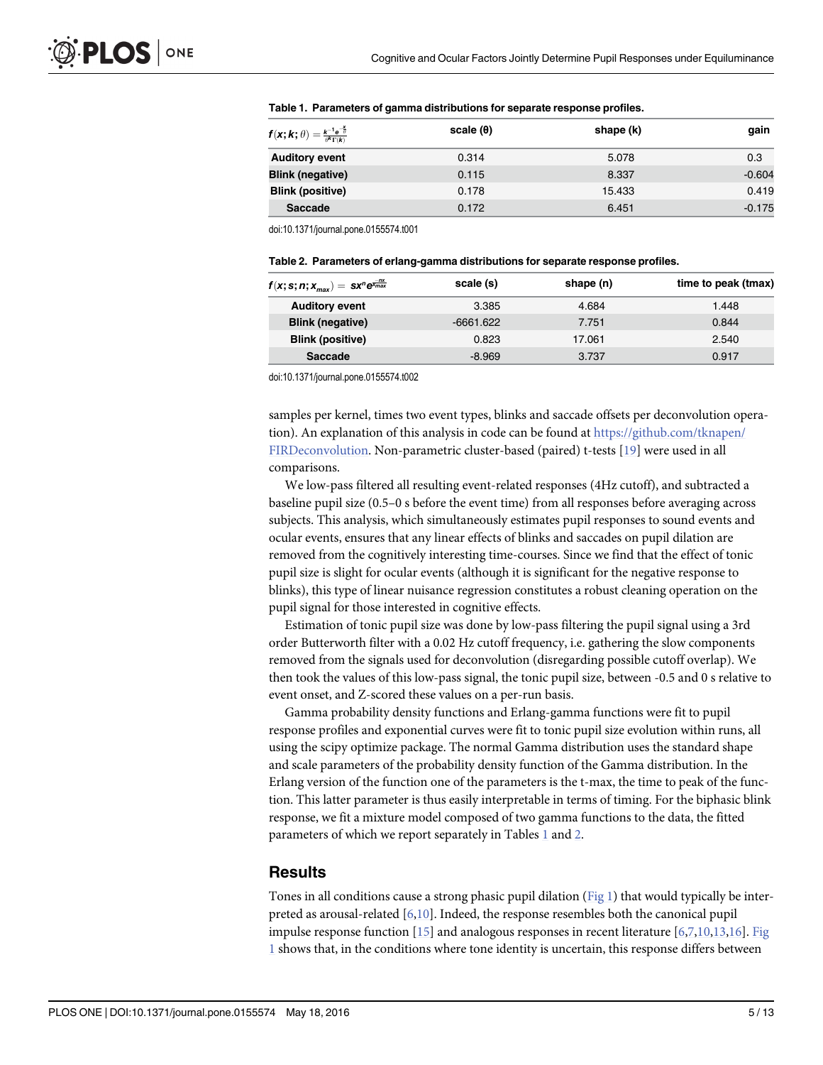| $f(x; k; \theta) = \frac{k^{-1} e^{-\frac{\pi}{\theta}}}{\theta^k \Gamma(k)}$ | scale $(\theta)$ | shape (k) | gain     |
|-------------------------------------------------------------------------------|------------------|-----------|----------|
| <b>Auditory event</b>                                                         | 0.314            | 5.078     | 0.3      |
| <b>Blink (negative)</b>                                                       | 0.115            | 8.337     | $-0.604$ |
| <b>Blink (positive)</b>                                                       | 0.178            | 15.433    | 0.419    |
| <b>Saccade</b>                                                                | 0.172            | 6.451     | $-0.175$ |

#### <span id="page-4-0"></span>Table 1. Parameters of gamma distributions for separate response profiles.

doi:10.1371/journal.pone.0155574.t001

| Table 2. Parameters of erlang-gamma distributions for separate response profiles. |  |
|-----------------------------------------------------------------------------------|--|
|-----------------------------------------------------------------------------------|--|

| $f(x; s; n; x_{max}) = sx^n e^{\frac{1}{x_{max}}}$ | scale (s)   | shape (n) | time to peak (tmax) |
|----------------------------------------------------|-------------|-----------|---------------------|
| <b>Auditory event</b>                              | 3.385       | 4.684     | 1.448               |
| <b>Blink (negative)</b>                            | $-6661.622$ | 7.751     | 0.844               |
| <b>Blink (positive)</b>                            | 0.823       | 17.061    | 2.540               |
| Saccade                                            | $-8.969$    | 3.737     | 0.917               |

doi:10.1371/journal.pone.0155574.t002

samples per kernel, times two event types, blinks and saccade offsets per deconvolution operation). An explanation of this analysis in code can be found at [https://github.com/tknapen/](https://github.com/tknapen/FIRDeconvolution) [FIRDeconvolution](https://github.com/tknapen/FIRDeconvolution). Non-parametric cluster-based (paired) t-tests [\[19\]](#page-12-0) were used in all comparisons.

We low-pass filtered all resulting event-related responses (4Hz cutoff), and subtracted a baseline pupil size (0.5–0 s before the event time) from all responses before averaging across subjects. This analysis, which simultaneously estimates pupil responses to sound events and ocular events, ensures that any linear effects of blinks and saccades on pupil dilation are removed from the cognitively interesting time-courses. Since we find that the effect of tonic pupil size is slight for ocular events (although it is significant for the negative response to blinks), this type of linear nuisance regression constitutes a robust cleaning operation on the pupil signal for those interested in cognitive effects.

Estimation of tonic pupil size was done by low-pass filtering the pupil signal using a 3rd order Butterworth filter with a 0.02 Hz cutoff frequency, i.e. gathering the slow components removed from the signals used for deconvolution (disregarding possible cutoff overlap). We then took the values of this low-pass signal, the tonic pupil size, between -0.5 and 0 s relative to event onset, and Z-scored these values on a per-run basis.

Gamma probability density functions and Erlang-gamma functions were fit to pupil response profiles and exponential curves were fit to tonic pupil size evolution within runs, all using the scipy optimize package. The normal Gamma distribution uses the standard shape and scale parameters of the probability density function of the Gamma distribution. In the Erlang version of the function one of the parameters is the t-max, the time to peak of the function. This latter parameter is thus easily interpretable in terms of timing. For the biphasic blink response, we fit a mixture model composed of two gamma functions to the data, the fitted parameters of which we report separately in Tables  $1$  and  $2$ .

#### Results

Tones in all conditions cause a strong phasic pupil dilation ([Fig 1](#page-2-0)) that would typically be interpreted as arousal-related [[6,10\]](#page-11-0). Indeed, the response resembles both the canonical pupil impulse response function  $[15]$  and analogous responses in recent literature  $[6,7,10,13,16]$  $[6,7,10,13,16]$  $[6,7,10,13,16]$  $[6,7,10,13,16]$  $[6,7,10,13,16]$ . [Fig](#page-2-0) [1](#page-2-0) shows that, in the conditions where tone identity is uncertain, this response differs between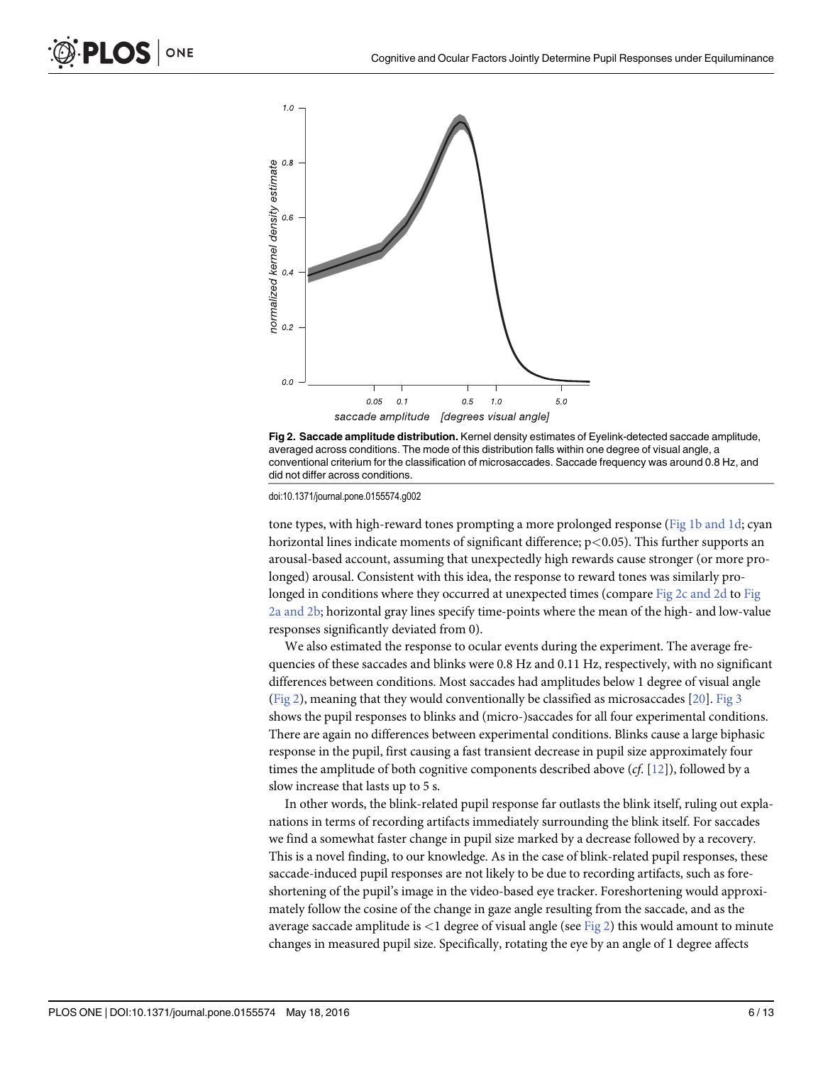



tone types, with high-reward tones prompting a more prolonged response ( $Fig 1b$  and 1d; cyan horizontal lines indicate moments of significant difference;  $p < 0.05$ ). This further supports an arousal-based account, assuming that unexpectedly high rewards cause stronger (or more prolonged) arousal. Consistent with this idea, the response to reward tones was similarly prolonged in conditions where they occurred at unexpected times (compare Fig 2c and 2d to Fig 2a and 2b; horizontal gray lines specify time-points where the mean of the high- and low-value responses significantly deviated from 0).

We also estimated the response to ocular events during the experiment. The average frequencies of these saccades and blinks were 0.8 Hz and 0.11 Hz, respectively, with no significant differences between conditions. Most saccades had amplitudes below 1 degree of visual angle (Fig 2), meaning that they would conventionally be classified as microsaccades [\[20](#page-12-0)]. [Fig 3](#page-6-0) shows the pupil responses to blinks and (micro-)saccades for all four experimental conditions. There are again no differences between experimental conditions. Blinks cause a large biphasic response in the pupil, first causing a fast transient decrease in pupil size approximately four times the amplitude of both cognitive components described above  $(cf. [12])$  $(cf. [12])$  $(cf. [12])$ , followed by a slow increase that lasts up to 5 s.

In other words, the blink-related pupil response far outlasts the blink itself, ruling out explanations in terms of recording artifacts immediately surrounding the blink itself. For saccades we find a somewhat faster change in pupil size marked by a decrease followed by a recovery. This is a novel finding, to our knowledge. As in the case of blink-related pupil responses, these saccade-induced pupil responses are not likely to be due to recording artifacts, such as foreshortening of the pupil's image in the video-based eye tracker. Foreshortening would approximately follow the cosine of the change in gaze angle resulting from the saccade, and as the average saccade amplitude is  $\langle 1 \rangle$  degree of visual angle (see Fig 2) this would amount to minute changes in measured pupil size. Specifically, rotating the eye by an angle of 1 degree affects

ONE

<span id="page-5-0"></span>LOS I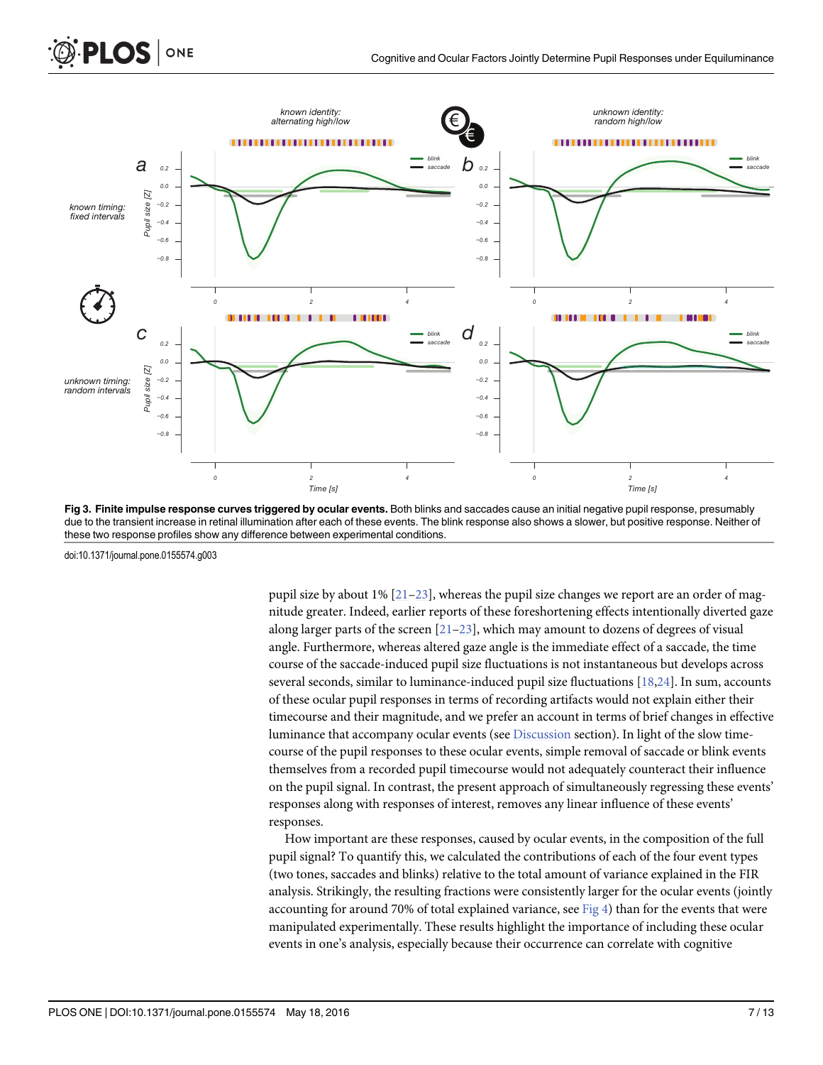<span id="page-6-0"></span>

[Fig 3. F](#page-5-0)inite impulse response curves triggered by ocular events. Both blinks and saccades cause an initial negative pupil response, presumably due to the transient increase in retinal illumination after each of these events. The blink response also shows a slower, but positive response. Neither of these two response profiles show any difference between experimental conditions.

pupil size by about 1%  $[21-23]$  $[21-23]$  $[21-23]$ , whereas the pupil size changes we report are an order of magnitude greater. Indeed, earlier reports of these foreshortening effects intentionally diverted gaze along larger parts of the screen  $[21–23]$  $[21–23]$  $[21–23]$  $[21–23]$ , which may amount to dozens of degrees of visual angle. Furthermore, whereas altered gaze angle is the immediate effect of a saccade, the time course of the saccade-induced pupil size fluctuations is not instantaneous but develops across several seconds, similar to luminance-induced pupil size fluctuations  $[18,24]$ . In sum, accounts of these ocular pupil responses in terms of recording artifacts would not explain either their timecourse and their magnitude, and we prefer an account in terms of brief changes in effective luminance that accompany ocular events (see [Discussion](#page-9-0) section). In light of the slow timecourse of the pupil responses to these ocular events, simple removal of saccade or blink events themselves from a recorded pupil timecourse would not adequately counteract their influence on the pupil signal. In contrast, the present approach of simultaneously regressing these events' responses along with responses of interest, removes any linear influence of these events' responses.

How important are these responses, caused by ocular events, in the composition of the full pupil signal? To quantify this, we calculated the contributions of each of the four event types (two tones, saccades and blinks) relative to the total amount of variance explained in the FIR analysis. Strikingly, the resulting fractions were consistently larger for the ocular events (jointly accounting for around 70% of total explained variance, see  $Fig 4$ ) than for the events that were manipulated experimentally. These results highlight the importance of including these ocular events in one's analysis, especially because their occurrence can correlate with cognitive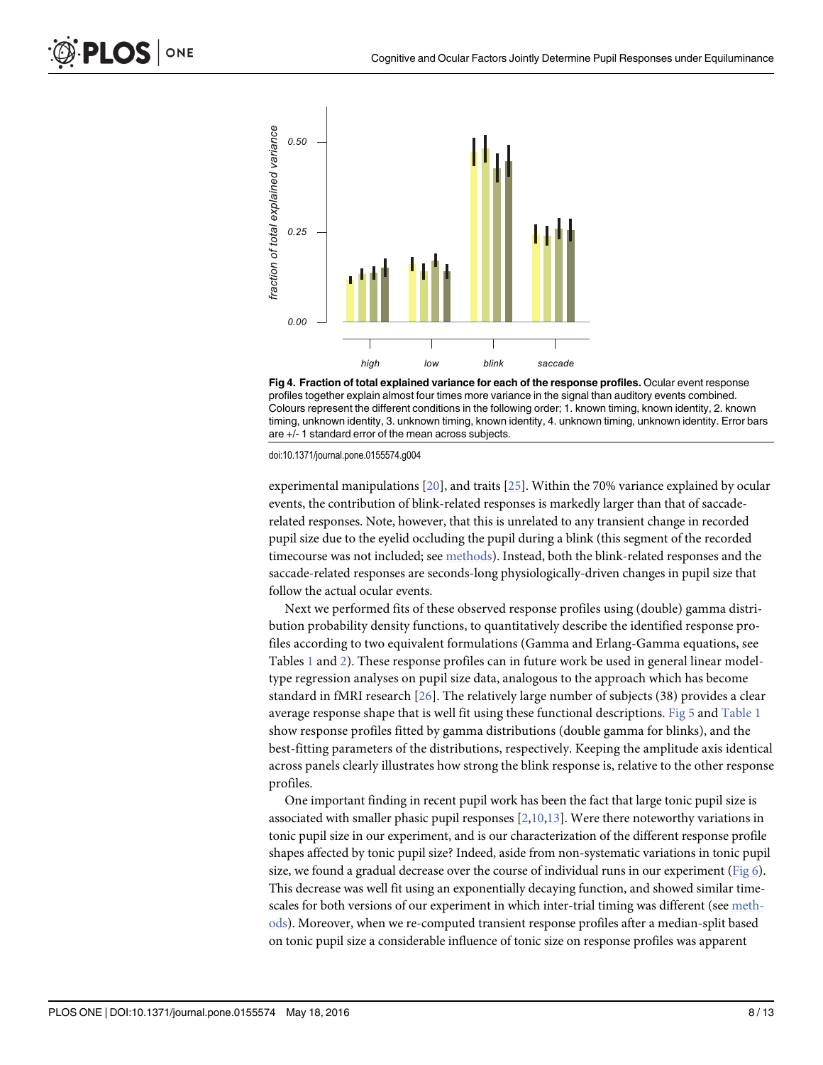<span id="page-7-0"></span>



experimental manipulations  $[20]$  $[20]$  $[20]$ , and traits  $[25]$ . Within the 70% variance explained by ocular events, the contribution of blink-related responses is markedly larger than that of saccaderelated responses. Note, however, that this is unrelated to any transient change in recorded pupil size due to the eyelid occluding the pupil during a blink (this segment of the recorded timecourse was not included; see [methods](#page-2-0)). Instead, both the blink-related responses and the saccade-related responses are seconds-long physiologically-driven changes in pupil size that follow the actual ocular events.

Next we performed fits of these observed response profiles using (double) gamma distribution probability density functions, to quantitatively describe the identified response profiles according to two equivalent formulations (Gamma and Erlang-Gamma equations, see Tables [1](#page-4-0) and [2](#page-4-0)). These response profiles can in future work be used in general linear modeltype regression analyses on pupil size data, analogous to the approach which has become standard in fMRI research  $[26]$  $[26]$  $[26]$ . The relatively large number of subjects (38) provides a clear average response shape that is well fit using these functional descriptions. [Fig 5](#page-8-0) and [Table 1](#page-4-0) show response profiles fitted by gamma distributions (double gamma for blinks), and the best-fitting parameters of the distributions, respectively. Keeping the amplitude axis identical across panels clearly illustrates how strong the blink response is, relative to the other response profiles.

One important finding in recent pupil work has been the fact that large tonic pupil size is associated with smaller phasic pupil responses  $[2,10,13]$  $[2,10,13]$ . Were there noteworthy variations in tonic pupil size in our experiment, and is our characterization of the different response profile shapes affected by tonic pupil size? Indeed, aside from non-systematic variations in tonic pupil size, we found a gradual decrease over the course of individual runs in our experiment (Fig  $6$ ). This decrease was well fit using an exponentially decaying function, and showed similar timescales for both versions of our experiment in which inter-trial timing was different (see [meth](#page-2-0)[ods\)](#page-2-0). Moreover, when we re-computed transient response profiles after a median-split based on tonic pupil size a considerable influence of tonic size on response profiles was apparent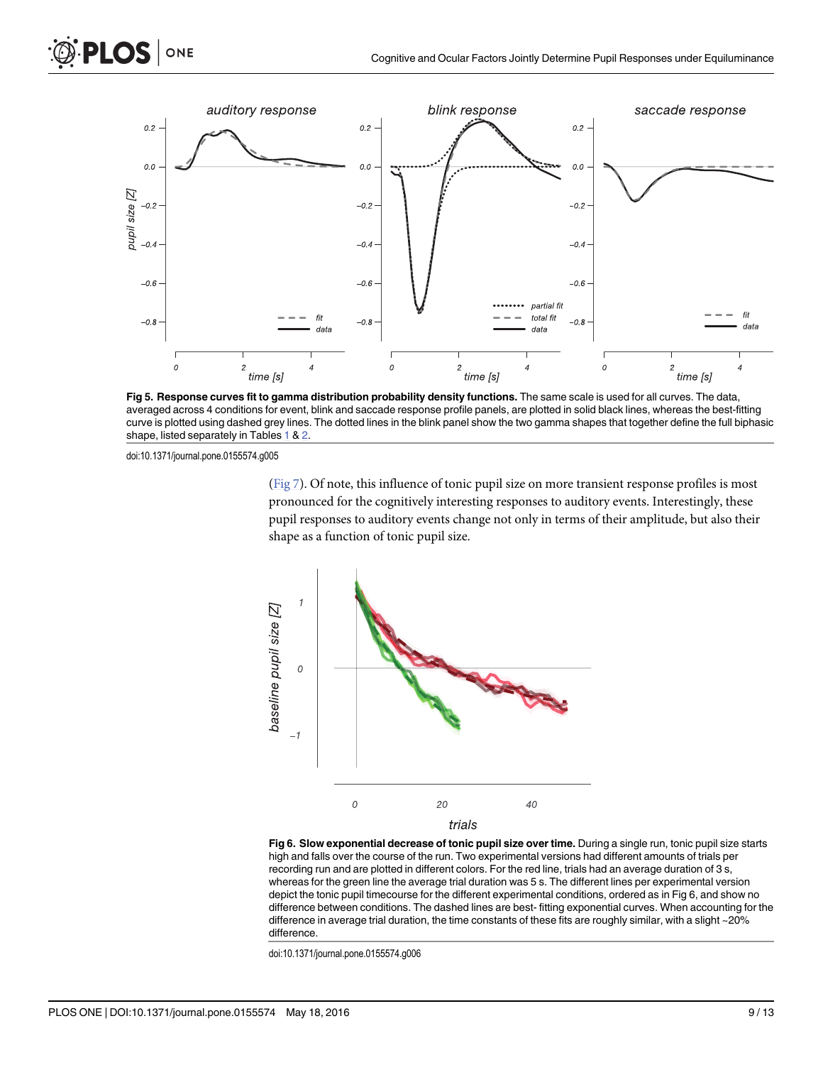<span id="page-8-0"></span>

[Fig 5. R](#page-7-0)esponse curves fit to gamma distribution probability density functions. The same scale is used for all curves. The data, averaged across 4 conditions for event, blink and saccade response profile panels, are plotted in solid black lines, whereas the best-fitting curve is plotted using dashed grey lines. The dotted lines in the blink panel show the two gamma shapes that together define the full biphasic shape, listed separately in Tables  $1 & 2$  $1 & 2$  $1 & 2$ .

[\(Fig 7\)](#page-9-0). Of note, this influence of tonic pupil size on more transient response profiles is most pronounced for the cognitively interesting responses to auditory events. Interestingly, these pupil responses to auditory events change not only in terms of their amplitude, but also their shape as a function of tonic pupil size.



[Fig 6. S](#page-7-0)low exponential decrease of tonic pupil size over time. During a single run, tonic pupil size starts high and falls over the course of the run. Two experimental versions had different amounts of trials per recording run and are plotted in different colors. For the red line, trials had an average duration of 3 s, whereas for the green line the average trial duration was 5 s. The different lines per experimental version depict the tonic pupil timecourse for the different experimental conditions, ordered as in Fig 6, and show no difference between conditions. The dashed lines are best- fitting exponential curves. When accounting for the difference in average trial duration, the time constants of these fits are roughly similar, with a slight ~20% difference.

doi:10.1371/journal.pone.0155574.g006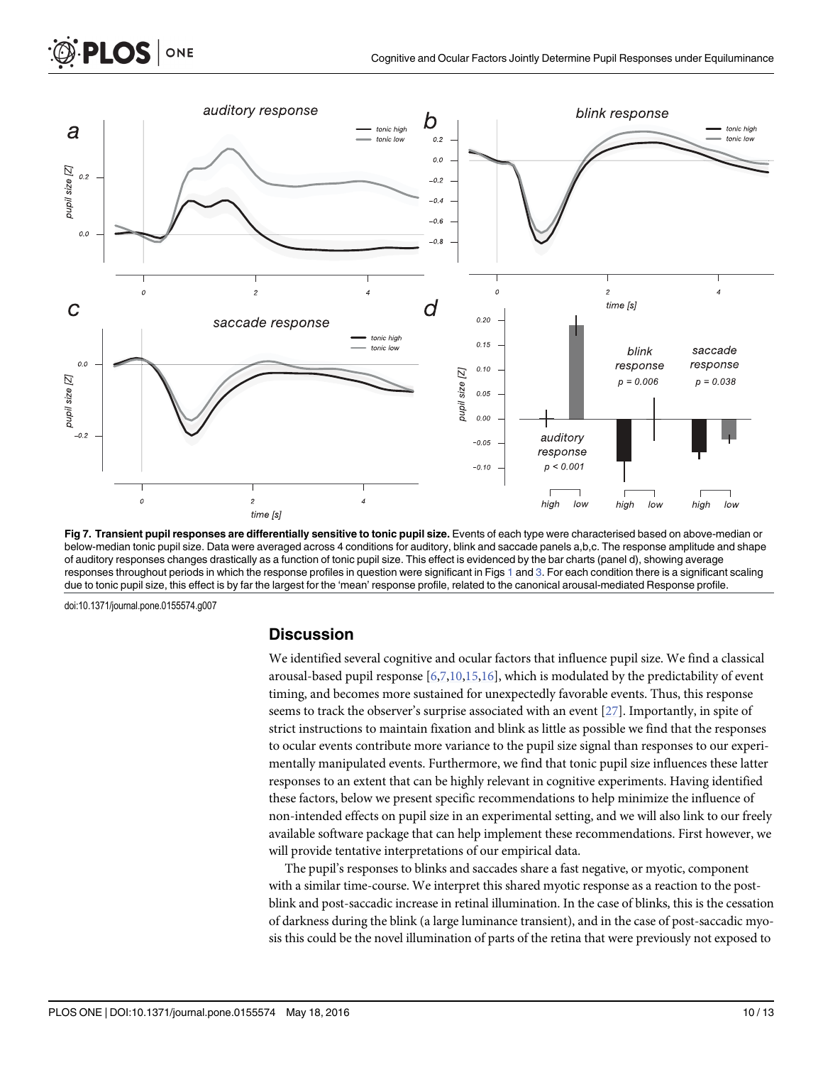<span id="page-9-0"></span>

[Fig 7. T](#page-7-0)ransient pupil responses are differentially sensitive to tonic pupil size. Events of each type were characterised based on above-median or below-median tonic pupil size. Data were averaged across 4 conditions for auditory, blink and saccade panels a,b,c. The response amplitude and shape of auditory responses changes drastically as a function of tonic pupil size. This effect is evidenced by the bar charts (panel d), showing average responses throughout periods in which the response profiles in question were significant in Figs [1](#page-2-0) and [3](#page-6-0). For each condition there is a significant scaling due to tonic pupil size, this effect is by far the largest for the 'mean' response profile, related to the canonical arousal-mediated Response profile.

#### **Discussion**

We identified several cognitive and ocular factors that influence pupil size. We find a classical arousal-based pupil response  $[6,7,10,15,16]$  $[6,7,10,15,16]$ , which is modulated by the predictability of event timing, and becomes more sustained for unexpectedly favorable events. Thus, this response seems to track the observer's surprise associated with an event [[27](#page-12-0)]. Importantly, in spite of strict instructions to maintain fixation and blink as little as possible we find that the responses to ocular events contribute more variance to the pupil size signal than responses to our experimentally manipulated events. Furthermore, we find that tonic pupil size influences these latter responses to an extent that can be highly relevant in cognitive experiments. Having identified these factors, below we present specific recommendations to help minimize the influence of non-intended effects on pupil size in an experimental setting, and we will also link to our freely available software package that can help implement these recommendations. First however, we will provide tentative interpretations of our empirical data.

The pupil's responses to blinks and saccades share a fast negative, or myotic, component with a similar time-course. We interpret this shared myotic response as a reaction to the postblink and post-saccadic increase in retinal illumination. In the case of blinks, this is the cessation of darkness during the blink (a large luminance transient), and in the case of post-saccadic myosis this could be the novel illumination of parts of the retina that were previously not exposed to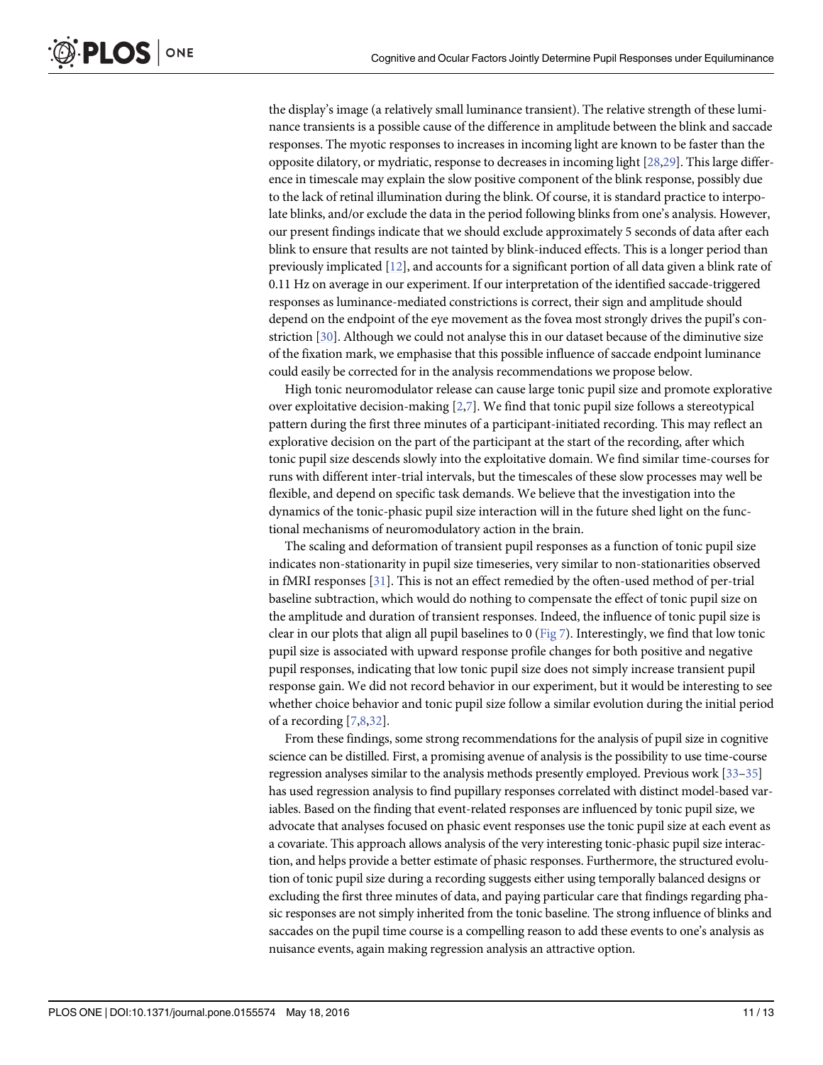<span id="page-10-0"></span>the display's image (a relatively small luminance transient). The relative strength of these luminance transients is a possible cause of the difference in amplitude between the blink and saccade responses. The myotic responses to increases in incoming light are known to be faster than the opposite dilatory, or mydriatic, response to decreases in incoming light [[28,29\]](#page-12-0). This large difference in timescale may explain the slow positive component of the blink response, possibly due to the lack of retinal illumination during the blink. Of course, it is standard practice to interpolate blinks, and/or exclude the data in the period following blinks from one's analysis. However, our present findings indicate that we should exclude approximately 5 seconds of data after each blink to ensure that results are not tainted by blink-induced effects. This is a longer period than previously implicated [\[12\]](#page-11-0), and accounts for a significant portion of all data given a blink rate of 0.11 Hz on average in our experiment. If our interpretation of the identified saccade-triggered responses as luminance-mediated constrictions is correct, their sign and amplitude should depend on the endpoint of the eye movement as the fovea most strongly drives the pupil's constriction [\[30\]](#page-12-0). Although we could not analyse this in our dataset because of the diminutive size of the fixation mark, we emphasise that this possible influence of saccade endpoint luminance could easily be corrected for in the analysis recommendations we propose below.

High tonic neuromodulator release can cause large tonic pupil size and promote explorative over exploitative decision-making  $[2,7]$  $[2,7]$ . We find that tonic pupil size follows a stereotypical pattern during the first three minutes of a participant-initiated recording. This may reflect an explorative decision on the part of the participant at the start of the recording, after which tonic pupil size descends slowly into the exploitative domain. We find similar time-courses for runs with different inter-trial intervals, but the timescales of these slow processes may well be flexible, and depend on specific task demands. We believe that the investigation into the dynamics of the tonic-phasic pupil size interaction will in the future shed light on the functional mechanisms of neuromodulatory action in the brain.

The scaling and deformation of transient pupil responses as a function of tonic pupil size indicates non-stationarity in pupil size timeseries, very similar to non-stationarities observed in fMRI responses [[31](#page-12-0)]. This is not an effect remedied by the often-used method of per-trial baseline subtraction, which would do nothing to compensate the effect of tonic pupil size on the amplitude and duration of transient responses. Indeed, the influence of tonic pupil size is clear in our plots that align all pupil baselines to 0 ( $Fig 7$ ). Interestingly, we find that low tonic pupil size is associated with upward response profile changes for both positive and negative pupil responses, indicating that low tonic pupil size does not simply increase transient pupil response gain. We did not record behavior in our experiment, but it would be interesting to see whether choice behavior and tonic pupil size follow a similar evolution during the initial period of a recording [[7,8,](#page-11-0)[32](#page-12-0)].

From these findings, some strong recommendations for the analysis of pupil size in cognitive science can be distilled. First, a promising avenue of analysis is the possibility to use time-course regression analyses similar to the analysis methods presently employed. Previous work [\[33](#page-12-0)–[35](#page-12-0)] has used regression analysis to find pupillary responses correlated with distinct model-based variables. Based on the finding that event-related responses are influenced by tonic pupil size, we advocate that analyses focused on phasic event responses use the tonic pupil size at each event as a covariate. This approach allows analysis of the very interesting tonic-phasic pupil size interaction, and helps provide a better estimate of phasic responses. Furthermore, the structured evolution of tonic pupil size during a recording suggests either using temporally balanced designs or excluding the first three minutes of data, and paying particular care that findings regarding phasic responses are not simply inherited from the tonic baseline. The strong influence of blinks and saccades on the pupil time course is a compelling reason to add these events to one's analysis as nuisance events, again making regression analysis an attractive option.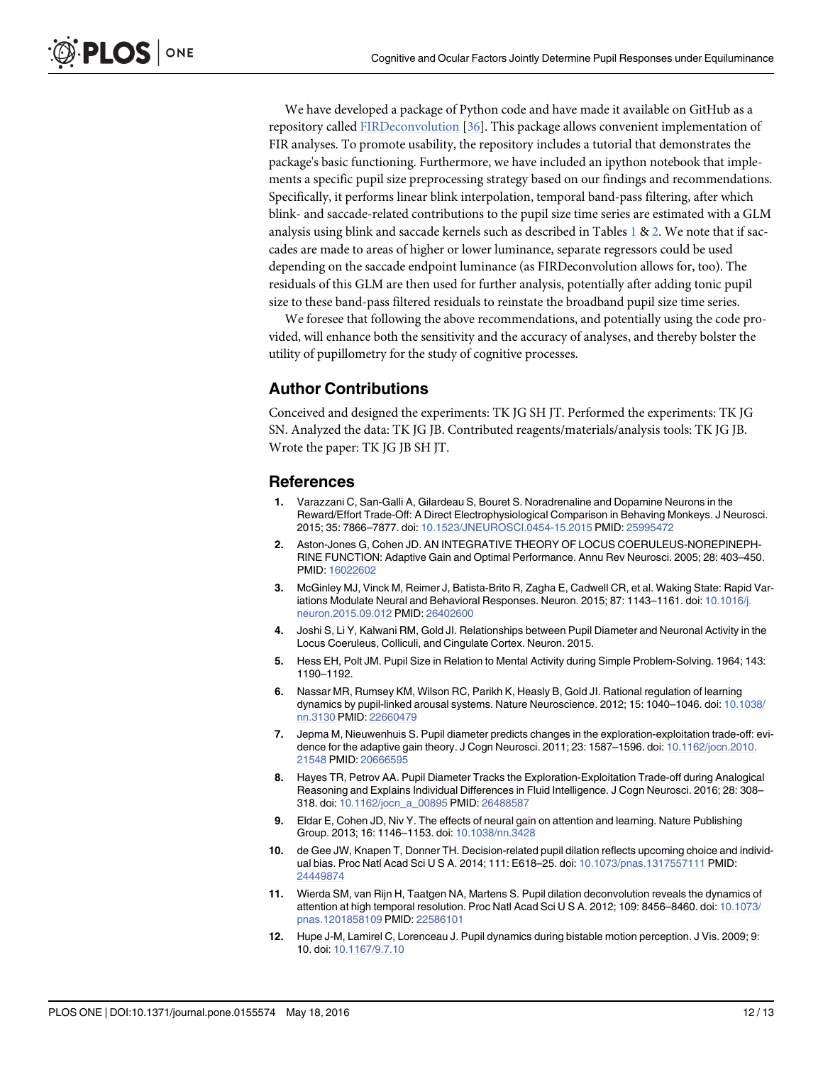<span id="page-11-0"></span>We have developed a package of Python code and have made it available on GitHub as a repository called [FIRDeconvolution](https://github.com/tknapen/FIRDeconvolution) [[36](#page-12-0)]. This package allows convenient implementation of FIR analyses. To promote usability, the repository includes a tutorial that demonstrates the package's basic functioning. Furthermore, we have included an ipython notebook that implements a specific pupil size preprocessing strategy based on our findings and recommendations. Specifically, it performs linear blink interpolation, temporal band-pass filtering, after which blink- and saccade-related contributions to the pupil size time series are estimated with a GLM analysis using blink and saccade kernels such as described in Tables [1](#page-4-0) & [2](#page-4-0). We note that if saccades are made to areas of higher or lower luminance, separate regressors could be used depending on the saccade endpoint luminance (as FIRDeconvolution allows for, too). The residuals of this GLM are then used for further analysis, potentially after adding tonic pupil size to these band-pass filtered residuals to reinstate the broadband pupil size time series.

We foresee that following the above recommendations, and potentially using the code provided, will enhance both the sensitivity and the accuracy of analyses, and thereby bolster the utility of pupillometry for the study of cognitive processes.

#### Author Contributions

Conceived and designed the experiments: TK JG SH JT. Performed the experiments: TK JG SN. Analyzed the data: TK JG JB. Contributed reagents/materials/analysis tools: TK JG JB. Wrote the paper: TK JG JB SH JT.

#### References

- [1.](#page-0-0) Varazzani C, San-Galli A, Gilardeau S, Bouret S. Noradrenaline and Dopamine Neurons in the Reward/Effort Trade-Off: A Direct Electrophysiological Comparison in Behaving Monkeys. J Neurosci. 2015; 35: 7866–7877. doi: [10.1523/JNEUROSCI.0454-15.2015](http://dx.doi.org/10.1523/JNEUROSCI.0454-15.2015) PMID: [25995472](http://www.ncbi.nlm.nih.gov/pubmed/25995472)
- [2.](#page-1-0) Aston-Jones G, Cohen JD. AN INTEGRATIVE THEORY OF LOCUS COERULEUS-NOREPINEPH-RINE FUNCTION: Adaptive Gain and Optimal Performance. Annu Rev Neurosci. 2005; 28: 403–450. PMID: [16022602](http://www.ncbi.nlm.nih.gov/pubmed/16022602)
- 3. McGinley MJ, Vinck M, Reimer J, Batista-Brito R, Zagha E, Cadwell CR, et al. Waking State: Rapid Var-iations Modulate Neural and Behavioral Responses. Neuron. 2015; 87: 1143-1161. doi: [10.1016/j.](http://dx.doi.org/10.1016/j.neuron.2015.09.012) [neuron.2015.09.012](http://dx.doi.org/10.1016/j.neuron.2015.09.012) PMID: [26402600](http://www.ncbi.nlm.nih.gov/pubmed/26402600)
- [4.](#page-0-0) Joshi S, Li Y, Kalwani RM, Gold JI. Relationships between Pupil Diameter and Neuronal Activity in the Locus Coeruleus, Colliculi, and Cingulate Cortex. Neuron. 2015.
- [5.](#page-0-0) Hess EH, Polt JM. Pupil Size in Relation to Mental Activity during Simple Problem-Solving. 1964; 143: 1190–1192.
- [6.](#page-1-0) Nassar MR, Rumsey KM, Wilson RC, Parikh K, Heasly B, Gold JI. Rational regulation of learning dynamics by pupil-linked arousal systems. Nature Neuroscience. 2012; 15: 1040-1046. doi: [10.1038/](http://dx.doi.org/10.1038/nn.3130) [nn.3130](http://dx.doi.org/10.1038/nn.3130) PMID: [22660479](http://www.ncbi.nlm.nih.gov/pubmed/22660479)
- [7.](#page-4-0) Jepma M, Nieuwenhuis S. Pupil diameter predicts changes in the exploration-exploitation trade-off: evi-dence for the adaptive gain theory. J Cogn Neurosci. 2011; 23: 1587-1596. doi: [10.1162/jocn.2010.](http://dx.doi.org/10.1162/jocn.2010.21548) [21548](http://dx.doi.org/10.1162/jocn.2010.21548) PMID: [20666595](http://www.ncbi.nlm.nih.gov/pubmed/20666595)
- [8.](#page-1-0) Hayes TR, Petrov AA. Pupil Diameter Tracks the Exploration-Exploitation Trade-off during Analogical Reasoning and Explains Individual Differences in Fluid Intelligence. J Cogn Neurosci. 2016; 28: 308– 318. doi: [10.1162/jocn\\_a\\_00895](http://dx.doi.org/10.1162/jocn_a_00895) PMID: [26488587](http://www.ncbi.nlm.nih.gov/pubmed/26488587)
- [9.](#page-1-0) Eldar E, Cohen JD, Niv Y. The effects of neural gain on attention and learning. Nature Publishing Group. 2013; 16: 1146–1153. doi: [10.1038/nn.3428](http://dx.doi.org/10.1038/nn.3428)
- [10.](#page-1-0) de Gee JW, Knapen T, Donner TH. Decision-related pupil dilation reflects upcoming choice and individual bias. Proc Natl Acad Sci U S A. 2014; 111: E618–25. doi: [10.1073/pnas.1317557111](http://dx.doi.org/10.1073/pnas.1317557111) PMID: [24449874](http://www.ncbi.nlm.nih.gov/pubmed/24449874)
- 11. Wierda SM, van Rijn H, Taatgen NA, Martens S. Pupil dilation deconvolution reveals the dynamics of attention at high temporal resolution. Proc Natl Acad Sci U S A. 2012; 109: 8456–8460. doi: [10.1073/](http://dx.doi.org/10.1073/pnas.1201858109) [pnas.1201858109](http://dx.doi.org/10.1073/pnas.1201858109) PMID: [22586101](http://www.ncbi.nlm.nih.gov/pubmed/22586101)
- [12.](#page-1-0) Hupe J-M, Lamirel C, Lorenceau J. Pupil dynamics during bistable motion perception. J Vis. 2009; 9: 10. doi: [10.1167/9.7.10](http://dx.doi.org/10.1167/9.7.10)